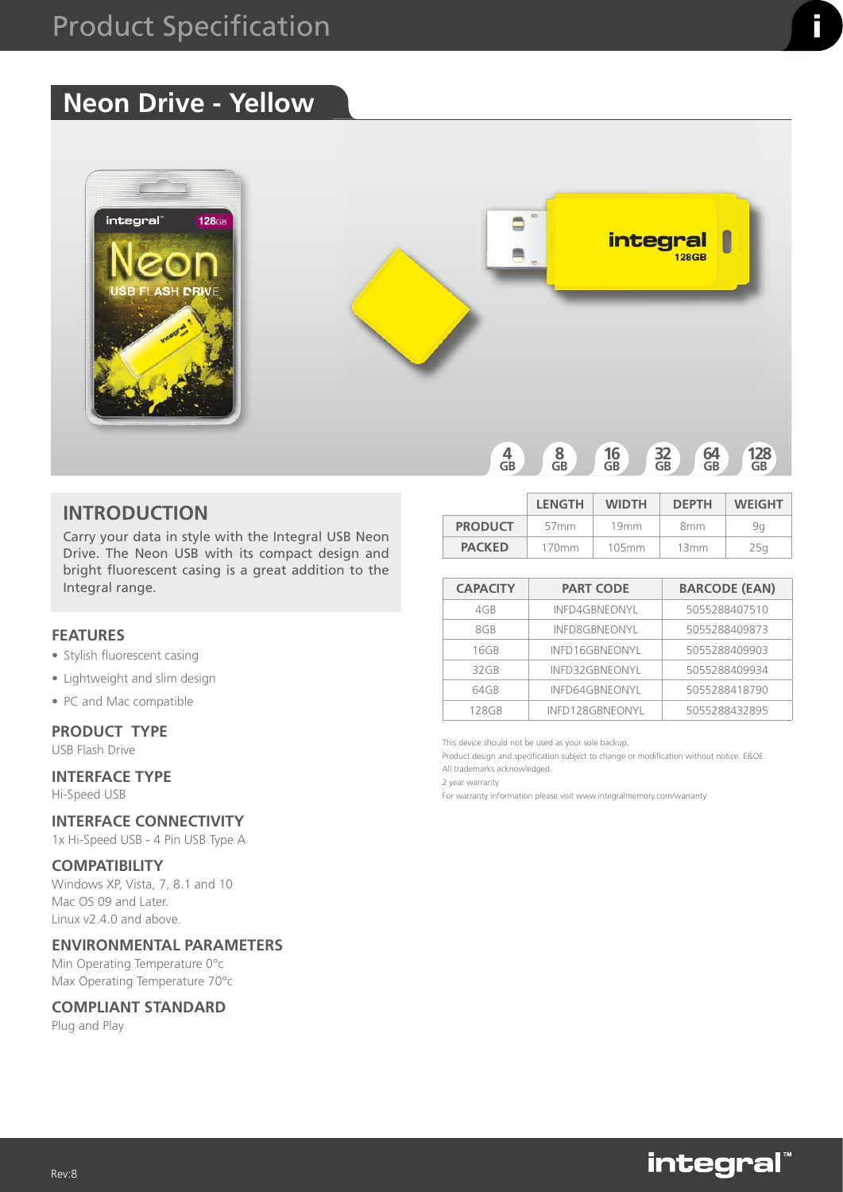# **Neon Drive - Yellow**



## **INTRODUCTION**

Carry your data in style with the Integral USB Neon Drive. The Neon USB with its compact design and bright fluorescent casing is a great addition to the Integral range.

## **FEATURES**

- Stylish fluorescent casing
- Lightweight and slim design
- PC and Mac compatible

### **PRODUCT TYPE**

USB Flash Drive

# **INTERFACE TYPE**

Hi-Speed USB

# **INTERFACE CONNECTIVITY**

1x Hi-Speed USB - 4 Pin USB Type A

#### **COMPATIBILITY**

Windows XP, Vista, 7, 8.1 and 10 Mac OS 09 and Later. Linux v2.4.0 and above.

## **ENVIRONMENTAL PARAMETERS**

Min Operating Temperature 0°c Max Operating Temperature 70°c

#### **COMPLIANT STANDARD**

Plug and Play

|                | <b>LENGTH</b>    | <b>WIDTH</b>     | <b>DEPTH</b>    | <b>WEIGHT</b> |
|----------------|------------------|------------------|-----------------|---------------|
| <b>PRODUCT</b> | 57 <sub>mm</sub> | 19 <sub>mm</sub> | 8 <sub>mm</sub> | 9α            |
| <b>PACKED</b>  | 170mm            | 105mm            | 13mm            | 25a           |

| <b>CAPACITY</b> | <b>PART CODE</b>      | <b>BARCODE (EAN)</b> |
|-----------------|-----------------------|----------------------|
| 4GB             | INFD4GBNEONYL         | 5055288407510        |
| 8GB             | <b>INFD8GBNEONYL</b>  | 5055288409873        |
| 16GB            | INFD16GBNEONYL        | 5055288409903        |
| 32 GB           | INFD32GBNEONYL        | 5055288409934        |
| 64GB            | <b>INFD64GBNEONYL</b> | 5055288418790        |
| 128GB           | INFD128GBNEONYL       | 5055288432895        |

This device should not be used as your sole backup.

Product design and specification subject to change or modification without notice. E&OE.

All trademarks acknowledged. 2 year warranty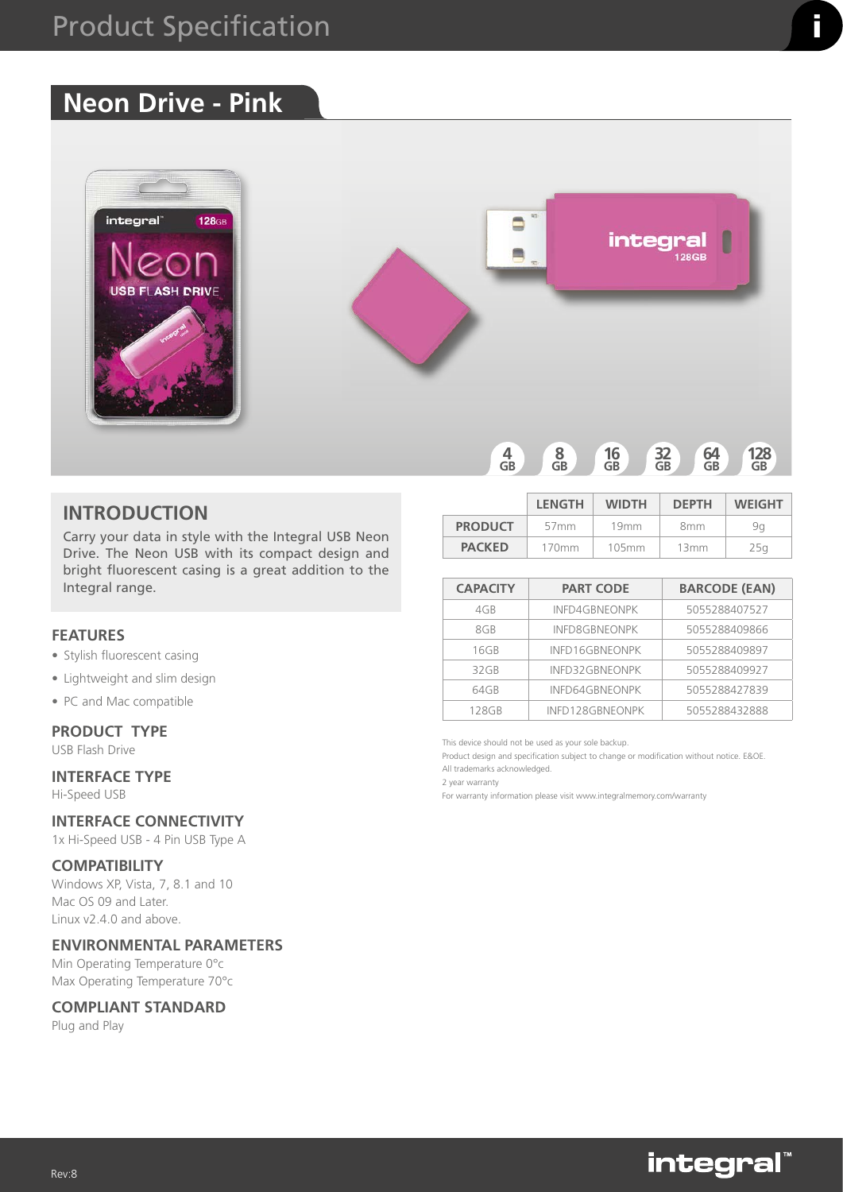# **Neon Drive - Pink**



## **INTRODUCTION**

Carry your data in style with the Integral USB Neon Drive. The Neon USB with its compact design and bright fluorescent casing is a great addition to the Integral range.

## **FEATURES**

- Stylish fluorescent casing
- Lightweight and slim design
- PC and Mac compatible

#### **PRODUCT TYPE**

USB Flash Drive

# **INTERFACE TYPE**

Hi-Speed USB

# **INTERFACE CONNECTIVITY**

1x Hi-Speed USB - 4 Pin USB Type A

#### **COMPATIBILITY**

Windows XP, Vista, 7, 8.1 and 10 Mac OS 09 and Later. Linux v2.4.0 and above.

## **ENVIRONMENTAL PARAMETERS**

Min Operating Temperature 0°c Max Operating Temperature 70°c

#### **COMPLIANT STANDARD**

Plug and Play

|                | <b>LENGTH</b>    | <b>WIDTH</b>     | <b>DEPTH</b>    | <b>WEIGHT</b> |
|----------------|------------------|------------------|-----------------|---------------|
| <b>PRODUCT</b> | 57 <sub>mm</sub> | 19 <sub>mm</sub> | 8 <sub>mm</sub> | 9α            |
| <b>PACKED</b>  | 170mm            | 105mm            | 13mm            | 25a           |

| <b>CAPACITY</b> | <b>PART CODE</b>      | <b>BARCODE (EAN)</b> |
|-----------------|-----------------------|----------------------|
| 4GB             | <b>INFD4GBNEONPK</b>  | 5055288407527        |
| 8GB             | <b>INFD8GBNEONPK</b>  | 5055288409866        |
| 16GB            | INFD16GBNEONPK        | 5055288409897        |
| 32 GB           | INFD32GBNEONPK        | 5055288409927        |
| 64GB            | <b>INFD64GBNEONPK</b> | 5055288427839        |
| 128GB           | INFD128GBNEONPK       | 5055288432888        |

This device should not be used as your sole backup.

Product design and specification subject to change or modification without notice. E&OE.

All trademarks acknowledged. 2 year warranty

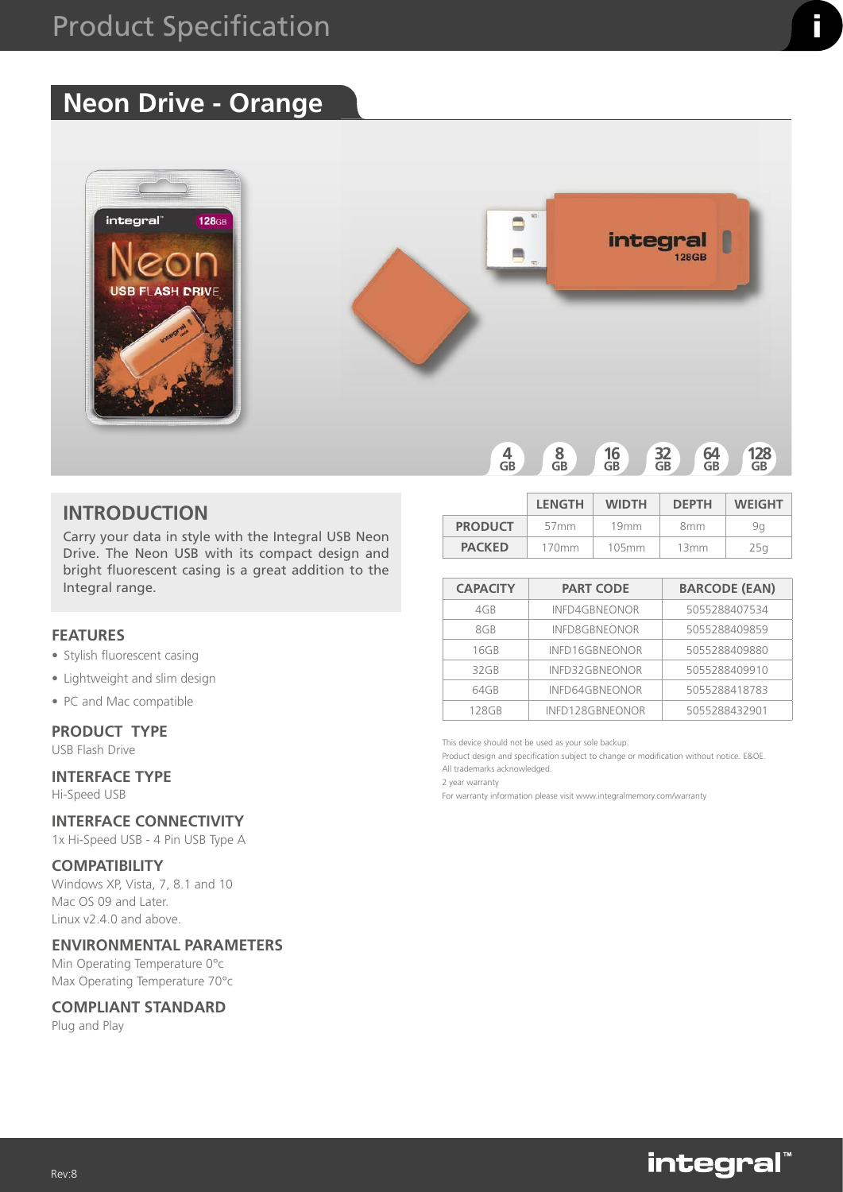# **Neon Drive - Orange**



## **INTRODUCTION**

Carry your data in style with the Integral USB Neon Drive. The Neon USB with its compact design and bright fluorescent casing is a great addition to the Integral range.

## **FEATURES**

- Stylish fluorescent casing
- Lightweight and slim design
- PC and Mac compatible

### **PRODUCT TYPE**

USB Flash Drive

# **INTERFACE TYPE**

Hi-Speed USB

# **INTERFACE CONNECTIVITY**

1x Hi-Speed USB - 4 Pin USB Type A

#### **COMPATIBILITY**

Windows XP, Vista, 7, 8.1 and 10 Mac OS 09 and Later. Linux v2.4.0 and above.

## **ENVIRONMENTAL PARAMETERS**

Min Operating Temperature 0°c Max Operating Temperature 70°c

#### **COMPLIANT STANDARD**

Plug and Play

|                | <b>LENGTH</b>    | <b>WIDTH</b>     | <b>DEPTH</b>    | <b>WEIGHT</b> |
|----------------|------------------|------------------|-----------------|---------------|
| <b>PRODUCT</b> | 57 <sub>mm</sub> | 19 <sub>mm</sub> | 8 <sub>mm</sub> | 9α            |
| <b>PACKED</b>  | 170mm            | 105mm            | 13mm            | 25a           |

| <b>CAPACITY</b> | <b>PART CODE</b>     | <b>BARCODE (EAN)</b> |
|-----------------|----------------------|----------------------|
| 4GB             | INFD4GBNEONOR        | 5055288407534        |
| 8GB             | <b>INFD8GBNEONOR</b> | 5055288409859        |
| 16GB            | INFD16GBNEONOR       | 5055288409880        |
| 32GB            | INFD32GBNEONOR       | 5055288409910        |
| 64GB            | INFD64GBNEONOR       | 5055288418783        |
| 128GB           | INFD128GBNEONOR      | 5055288432901        |

This device should not be used as your sole backup.

Product design and specification subject to change or modification without notice. E&OE.

All trademarks acknowledged. 2 year warranty